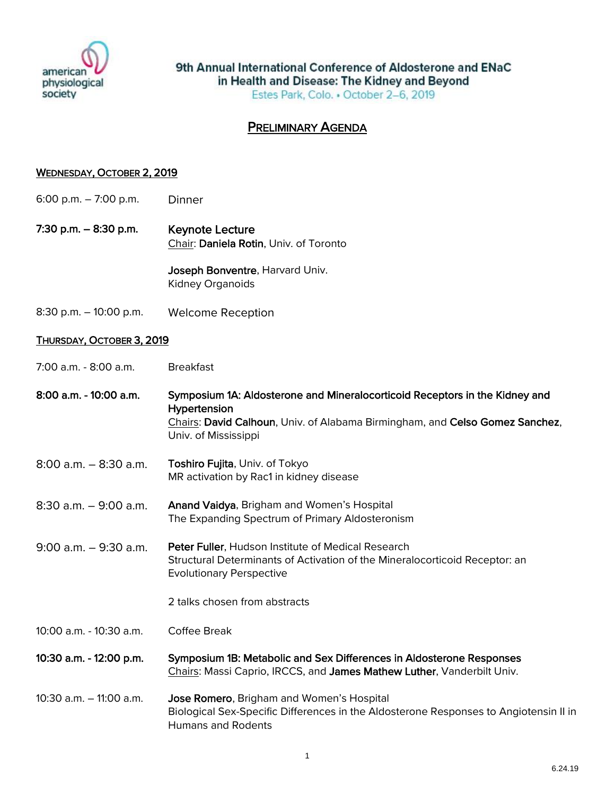

9th Annual International Conference of Aldosterone and ENaC in Health and Disease: The Kidney and Beyond Estes Park, Colo. • October 2-6, 2019

## PRELIMINARY AGENDA

## WEDNESDAY, OCTOBER 2, 2019

- 6:00 p.m. 7:00 p.m. Dinner
- 7:30 p.m. 8:30 p.m. Keynote Lecture Chair: Daniela Rotin, Univ. of Toronto

Joseph Bonventre, Harvard Univ. Kidney Organoids

8:30 p.m. – 10:00 p.m. Welcome Reception

## THURSDAY, OCTOBER 3, 2019

| 7:00 a.m. - 8:00 a.m. |
|-----------------------|
|-----------------------|

| 8:00 a.m. - 10:00 a.m.     | Symposium 1A: Aldosterone and Mineralocorticoid Receptors in the Kidney and<br>Hypertension<br>Chairs: David Calhoun, Univ. of Alabama Birmingham, and Celso Gomez Sanchez,<br>Univ. of Mississippi |
|----------------------------|-----------------------------------------------------------------------------------------------------------------------------------------------------------------------------------------------------|
| $8:00$ a.m. $-8:30$ a.m.   | <b>Toshiro Fujita, Univ. of Tokyo</b><br>MR activation by Rac1 in kidney disease                                                                                                                    |
| $8:30$ a.m. $-9:00$ a.m.   | Anand Vaidya, Brigham and Women's Hospital<br>The Expanding Spectrum of Primary Aldosteronism                                                                                                       |
| $9:00$ a.m. $-9:30$ a.m.   | Peter Fuller, Hudson Institute of Medical Research<br>Structural Determinants of Activation of the Mineralocorticoid Receptor: an<br><b>Evolutionary Perspective</b>                                |
|                            | 2 talks chosen from abstracts                                                                                                                                                                       |
| 10:00 a.m. - 10:30 a.m.    | Coffee Break                                                                                                                                                                                        |
| 10:30 a.m. - 12:00 p.m.    | Symposium 1B: Metabolic and Sex Differences in Aldosterone Responses<br>Chairs: Massi Caprio, IRCCS, and James Mathew Luther, Vanderbilt Univ.                                                      |
| $10:30$ a.m. $-11:00$ a.m. | Jose Romero, Brigham and Women's Hospital<br>Biological Sex-Specific Differences in the Aldosterone Responses to Angiotensin II in<br><b>Humans and Rodents</b>                                     |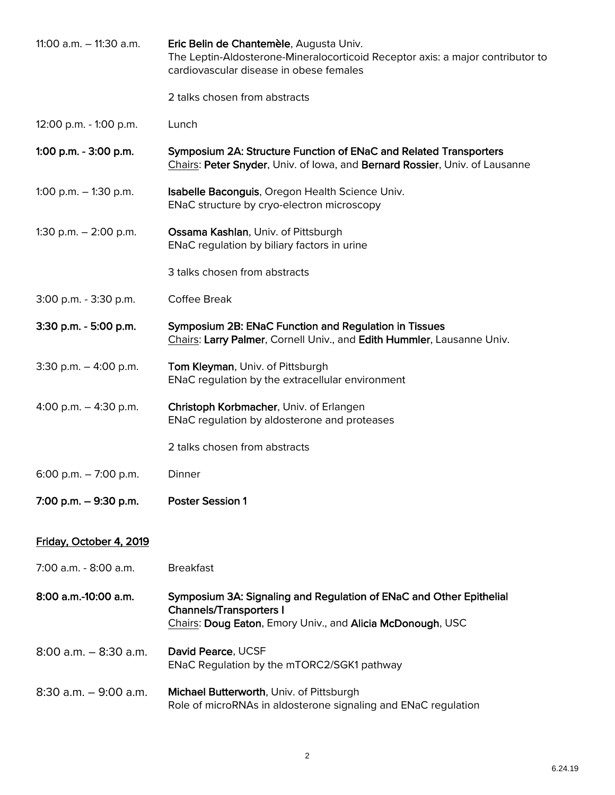| 11:00 $a.m. - 11:30$ $a.m.$ | Eric Belin de Chantemèle, Augusta Univ.<br>The Leptin-Aldosterone-Mineralocorticoid Receptor axis: a major contributor to<br>cardiovascular disease in obese females |
|-----------------------------|----------------------------------------------------------------------------------------------------------------------------------------------------------------------|
|                             | 2 talks chosen from abstracts                                                                                                                                        |
| 12:00 p.m. - 1:00 p.m.      | Lunch                                                                                                                                                                |
| 1:00 p.m. - 3:00 p.m.       | Symposium 2A: Structure Function of ENaC and Related Transporters<br>Chairs: Peter Snyder, Univ. of Iowa, and Bernard Rossier, Univ. of Lausanne                     |
| 1:00 p.m. $-$ 1:30 p.m.     | Isabelle Baconguis, Oregon Health Science Univ.<br>ENaC structure by cryo-electron microscopy                                                                        |
| 1:30 p.m. $-$ 2:00 p.m.     | Ossama Kashlan, Univ. of Pittsburgh<br>ENaC regulation by biliary factors in urine                                                                                   |
|                             | 3 talks chosen from abstracts                                                                                                                                        |
| 3:00 p.m. - 3:30 p.m.       | Coffee Break                                                                                                                                                         |
| 3:30 p.m. - 5:00 p.m.       | Symposium 2B: ENaC Function and Regulation in Tissues<br>Chairs: Larry Palmer, Cornell Univ., and Edith Hummler, Lausanne Univ.                                      |
| 3:30 p.m. $-$ 4:00 p.m.     | Tom Kleyman, Univ. of Pittsburgh<br>ENaC regulation by the extracellular environment                                                                                 |
| 4:00 p.m. $-$ 4:30 p.m.     | Christoph Korbmacher, Univ. of Erlangen<br>ENaC regulation by aldosterone and proteases                                                                              |
|                             | 2 talks chosen from abstracts                                                                                                                                        |
| 6:00 p.m. $-7:00$ p.m.      | Dinner                                                                                                                                                               |
| 7:00 p.m. $-$ 9:30 p.m.     | <b>Poster Session 1</b>                                                                                                                                              |
| Friday, October 4, 2019     |                                                                                                                                                                      |
| 7:00 a.m. - 8:00 a.m.       | <b>Breakfast</b>                                                                                                                                                     |
| 8:00 a.m.-10:00 a.m.        | Symposium 3A: Signaling and Regulation of ENaC and Other Epithelial<br><b>Channels/Transporters I</b><br>Chairs: Doug Eaton, Emory Univ., and Alicia McDonough, USC  |
| $8:00$ a.m. $-8:30$ a.m.    | David Pearce, UCSF<br>ENaC Regulation by the mTORC2/SGK1 pathway                                                                                                     |
| $8:30$ a.m. $-9:00$ a.m.    | Michael Butterworth, Univ. of Pittsburgh<br>Role of microRNAs in aldosterone signaling and ENaC regulation                                                           |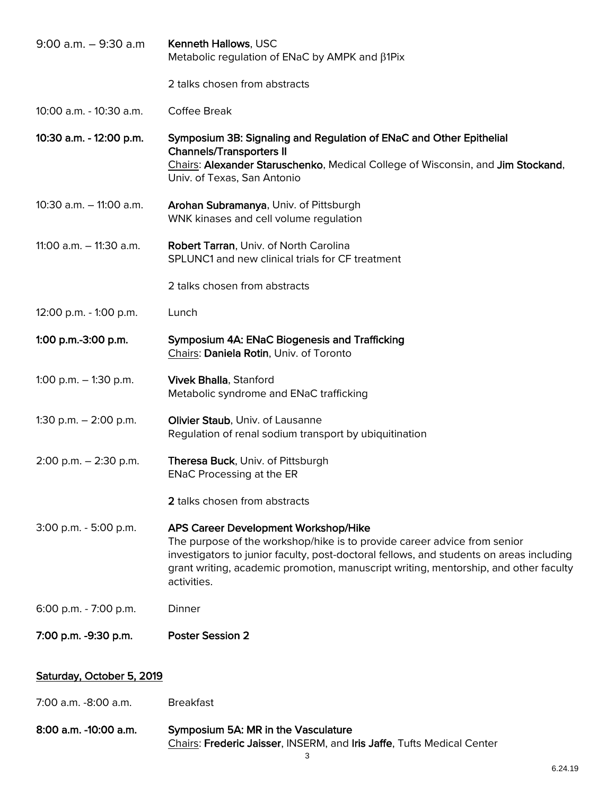| $9:00$ a.m. $-9:30$ a.m    | Kenneth Hallows, USC<br>Metabolic regulation of ENaC by AMPK and β1Pix                                                                                                                                                                                                                                             |
|----------------------------|--------------------------------------------------------------------------------------------------------------------------------------------------------------------------------------------------------------------------------------------------------------------------------------------------------------------|
|                            | 2 talks chosen from abstracts                                                                                                                                                                                                                                                                                      |
| 10:00 a.m. - 10:30 a.m.    | Coffee Break                                                                                                                                                                                                                                                                                                       |
| 10:30 a.m. - 12:00 p.m.    | Symposium 3B: Signaling and Regulation of ENaC and Other Epithelial<br><b>Channels/Transporters II</b><br>Chairs: Alexander Staruschenko, Medical College of Wisconsin, and Jim Stockand,<br>Univ. of Texas, San Antonio                                                                                           |
| $10:30$ a.m. $-11:00$ a.m. | Arohan Subramanya, Univ. of Pittsburgh<br>WNK kinases and cell volume regulation                                                                                                                                                                                                                                   |
| 11:00 a.m. $-$ 11:30 a.m.  | Robert Tarran, Univ. of North Carolina<br>SPLUNC1 and new clinical trials for CF treatment                                                                                                                                                                                                                         |
|                            | 2 talks chosen from abstracts                                                                                                                                                                                                                                                                                      |
| 12:00 p.m. - 1:00 p.m.     | Lunch                                                                                                                                                                                                                                                                                                              |
| 1:00 p.m.-3:00 p.m.        | Symposium 4A: ENaC Biogenesis and Trafficking<br>Chairs: Daniela Rotin, Univ. of Toronto                                                                                                                                                                                                                           |
| 1:00 p.m. $-$ 1:30 p.m.    | <b>Vivek Bhalla, Stanford</b><br>Metabolic syndrome and ENaC trafficking                                                                                                                                                                                                                                           |
| 1:30 p.m. $-$ 2:00 p.m.    | Olivier Staub, Univ. of Lausanne<br>Regulation of renal sodium transport by ubiquitination                                                                                                                                                                                                                         |
| $2:00$ p.m. $-2:30$ p.m.   | Theresa Buck, Univ. of Pittsburgh<br><b>ENaC Processing at the ER</b>                                                                                                                                                                                                                                              |
|                            | 2 talks chosen from abstracts                                                                                                                                                                                                                                                                                      |
| $3:00$ p.m. $-5:00$ p.m.   | APS Career Development Workshop/Hike<br>The purpose of the workshop/hike is to provide career advice from senior<br>investigators to junior faculty, post-doctoral fellows, and students on areas including<br>grant writing, academic promotion, manuscript writing, mentorship, and other faculty<br>activities. |
| 6:00 p.m. - 7:00 p.m.      | Dinner                                                                                                                                                                                                                                                                                                             |
| 7:00 p.m. -9:30 p.m.       | <b>Poster Session 2</b>                                                                                                                                                                                                                                                                                            |
| Saturday, October 5, 2019  |                                                                                                                                                                                                                                                                                                                    |
| 7:00 a.m. -8:00 a.m.       | <b>Breakfast</b>                                                                                                                                                                                                                                                                                                   |

8:00 a.m. -10:00 a.m. Symposium 5A: MR in the Vasculature Chairs: Frederic Jaisser, INSERM, and Iris Jaffe, Tufts Medical Center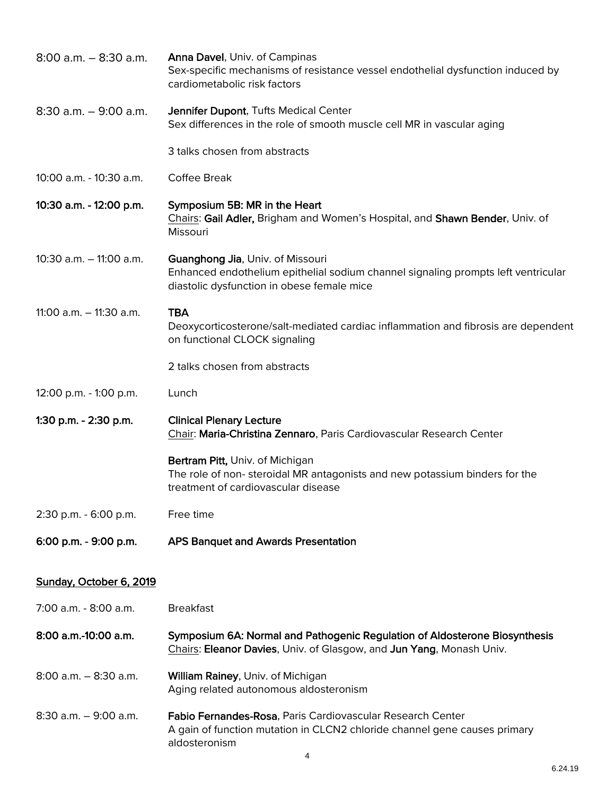| $8:00$ a.m. $-8:30$ a.m.    | <b>Anna Davel, Univ. of Campinas</b><br>Sex-specific mechanisms of resistance vessel endothelial dysfunction induced by<br>cardiometabolic risk factors             |
|-----------------------------|---------------------------------------------------------------------------------------------------------------------------------------------------------------------|
| $8:30$ a.m. $-9:00$ a.m.    | Jennifer Dupont, Tufts Medical Center<br>Sex differences in the role of smooth muscle cell MR in vascular aging                                                     |
|                             | 3 talks chosen from abstracts                                                                                                                                       |
| 10:00 a.m. - 10:30 a.m.     | Coffee Break                                                                                                                                                        |
| 10:30 a.m. - 12:00 p.m.     | Symposium 5B: MR in the Heart<br>Chairs: Gail Adler, Brigham and Women's Hospital, and Shawn Bender, Univ. of<br>Missouri                                           |
| $10:30$ a.m. $-11:00$ a.m.  | Guanghong Jia, Univ. of Missouri<br>Enhanced endothelium epithelial sodium channel signaling prompts left ventricular<br>diastolic dysfunction in obese female mice |
| 11:00 $a.m. - 11:30$ $a.m.$ | <b>TBA</b><br>Deoxycorticosterone/salt-mediated cardiac inflammation and fibrosis are dependent<br>on functional CLOCK signaling                                    |
|                             | 2 talks chosen from abstracts                                                                                                                                       |
| 12:00 p.m. - 1:00 p.m.      | Lunch                                                                                                                                                               |
| 1:30 p.m. - 2:30 p.m.       | <b>Clinical Plenary Lecture</b><br>Chair: Maria-Christina Zennaro, Paris Cardiovascular Research Center                                                             |
|                             | Bertram Pitt, Univ. of Michigan<br>The role of non-steroidal MR antagonists and new potassium binders for the<br>treatment of cardiovascular disease                |
| 2:30 p.m. - 6:00 p.m.       | Free time                                                                                                                                                           |
| 6:00 p.m. - 9:00 p.m.       | <b>APS Banquet and Awards Presentation</b>                                                                                                                          |
| Sunday, October 6, 2019     |                                                                                                                                                                     |
| 7:00 a.m. - 8:00 a.m.       | <b>Breakfast</b>                                                                                                                                                    |
| 8:00 a.m.-10:00 a.m.        | Symposium 6A: Normal and Pathogenic Regulation of Aldosterone Biosynthesis<br>Chairs: Eleanor Davies, Univ. of Glasgow, and Jun Yang, Monash Univ.                  |
| $8:00$ a.m. $-8:30$ a.m.    | William Rainey, Univ. of Michigan<br>Aging related autonomous aldosteronism                                                                                         |
| $8:30$ a.m. $-9:00$ a.m.    | Fabio Fernandes-Rosa, Paris Cardiovascular Research Center<br>A gain of function mutation in CLCN2 chloride channel gene causes primary<br>aldosteronism            |